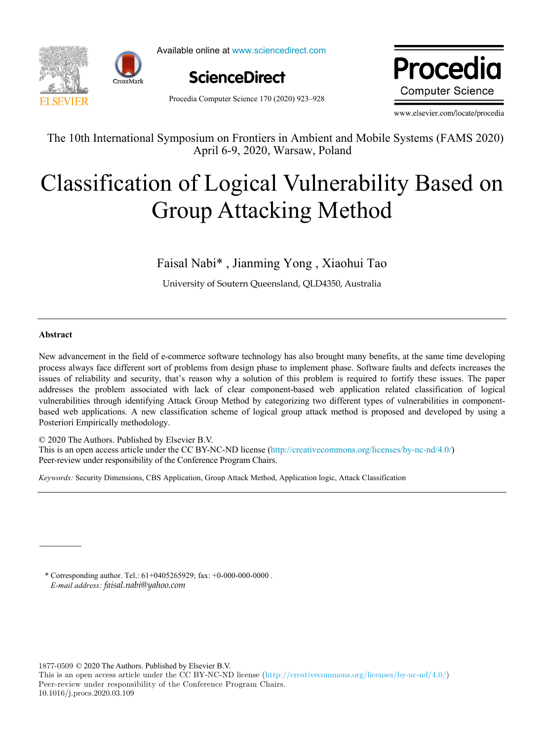

Available online at www.sciencedirect.com



Procedia Computer Science 170 (2020) 923–928

Dragodie www.elsevier.com/locate/procedia **Computer Science** 

www.elsevier.com/locate/procedia

The 10th International Symposium on Frontiers in Ambient and Mobile Systems (FAMS 2020) The 10th International Symposium on Frontiers in Ambient and Mobile Systems (FAMS 2020) April 6-9, 2020, Warsaw, Poland

# Classification of Logical Vulnerability Based on Group Attacking Method Classification of Logical Vulnerability Based on Group Attacking Method

 $F$  ,  $\frac{1}{2}$  ,  $\frac{1}{2}$  ,  $\frac{1}{2}$  ,  $\frac{1}{2}$  ,  $\frac{1}{2}$  ,  $\frac{1}{2}$  ,  $\frac{1}{2}$  ,  $\frac{1}{2}$  ,  $\frac{1}{2}$  ,  $\frac{1}{2}$  ,  $\frac{1}{2}$  ,  $\frac{1}{2}$  ,  $\frac{1}{2}$  ,  $\frac{1}{2}$  ,  $\frac{1}{2}$  ,  $\frac{1}{2}$  ,  $\frac{1}{2}$  ,  $\frac{1}{2}$  , Faisal Nabi\* , Jianming Yong , Xiaohui Tao

University of Soutern Queensland, QLD4350, Australia University of Soutern Queensland, QLD4350, Australia

# **Abstract**

New advancement in the field of e-commerce software technology has also brought many benefits, at the same time developing process always face different sort of problems from design phase to implement phase. Software faults and defects increases the issues of reliability and security, that's reason why a solution of this problem is required to fortify these issues. The paper addresses the problem associated with lack of clear component-based web application related classification of logical vulnerabilities through identifying Attack Group Method by categorizing two different types of vulnerabilities in componentbased web applications. A new classification scheme of logical group attack method is proposed and developed by using a New advancement in the field of e-commerce software technology has also brought many benefits, at the same time developing<br>process always face different sort of problems from design phase to implement phase. Software fault Posteriori Empirically methodology.

© 2020 The Authors. Published by Elsevier B.V. © 2020 The Authors. Published by Elsevier B.V.

 $\approx$  2020 The Additions. The institute by Eiseviet B.V.<br>This is an open access article under the CC BY-NC-ND license ([http://creativecommons.org/licenses/by-nc-nd/4.0/\)](http://creativecommons.org/licenses/by-nc-nd/4.0/) Peer-review under responsibility of the Conference Program Chairs. Peer-review under responsibility of the Conference Program Chairs.

*Keywords:* Security Dimensions, CBS Application, Group Attack Method, Application logic, Attack Classification *Keywords:* Security Dimensions, CBS Application, Group Attack Method, Application logic, Attack Classification

\* Corresponding author. Tel.: 61+0405265929; fax: +0-000-000-0000 . *E-mail address: faisal.nabi*@yahoo.com

1877-0509 © 2020 The Authors. Published by Elsevier B.V.

This is an open access article under the CC BY-NC-ND license (http://creativecommons.org/licenses/by-nc-nd/4.0/) Peer-review under responsibility of the Conference Program Chairs. 10.1016/j.procs.2020.03.109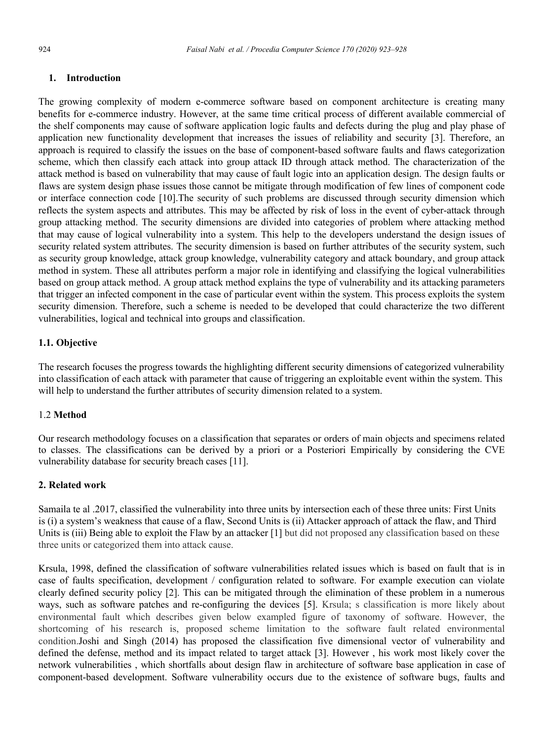#### **1. Introduction**

The growing complexity of modern e-commerce software based on component architecture is creating many benefits for e-commerce industry. However, at the same time critical process of different available commercial of the shelf components may cause of software application logic faults and defects during the plug and play phase of application new functionality development that increases the issues of reliability and security [3]. Therefore, an approach is required to classify the issues on the base of component-based software faults and flaws categorization scheme, which then classify each attack into group attack ID through attack method. The characterization of the attack method is based on vulnerability that may cause of fault logic into an application design. The design faults or flaws are system design phase issues those cannot be mitigate through modification of few lines of component code or interface connection code [10].The security of such problems are discussed through security dimension which reflects the system aspects and attributes. This may be affected by risk of loss in the event of cyber-attack through group attacking method. The security dimensions are divided into categories of problem where attacking method that may cause of logical vulnerability into a system. This help to the developers understand the design issues of security related system attributes. The security dimension is based on further attributes of the security system, such as security group knowledge, attack group knowledge, vulnerability category and attack boundary, and group attack method in system. These all attributes perform a major role in identifying and classifying the logical vulnerabilities based on group attack method. A group attack method explains the type of vulnerability and its attacking parameters that trigger an infected component in the case of particular event within the system. This process exploits the system security dimension. Therefore, such a scheme is needed to be developed that could characterize the two different vulnerabilities, logical and technical into groups and classification.

## **1.1. Objective**

The research focuses the progress towards the highlighting different security dimensions of categorized vulnerability into classification of each attack with parameter that cause of triggering an exploitable event within the system. This will help to understand the further attributes of security dimension related to a system.

#### 1.2 **Method**

Our research methodology focuses on a classification that separates or orders of main objects and specimens related to classes. The classifications can be derived by a priori or a Posteriori Empirically by considering the CVE vulnerability database for security breach cases [11].

## **2. Related work**

Samaila te al .2017, classified the vulnerability into three units by intersection each of these three units: First Units is (i) a system's weakness that cause of a flaw, Second Units is (ii) Attacker approach of attack the flaw, and Third Units is (iii) Being able to exploit the Flaw by an attacker [1] but did not proposed any classification based on these three units or categorized them into attack cause.

Krsula, 1998, defined the classification of software vulnerabilities related issues which is based on fault that is in case of faults specification, development / configuration related to software. For example execution can violate clearly defined security policy [2]. This can be mitigated through the elimination of these problem in a numerous ways, such as software patches and re-configuring the devices [5]. Krsula; s classification is more likely about environmental fault which describes given below exampled figure of taxonomy of software. However, the shortcoming of his research is, proposed scheme limitation to the software fault related environmental condition.Joshi and Singh (2014) has proposed the classification five dimensional vector of vulnerability and defined the defense, method and its impact related to target attack [3]. However , his work most likely cover the network vulnerabilities , which shortfalls about design flaw in architecture of software base application in case of component-based development. Software vulnerability occurs due to the existence of software bugs, faults and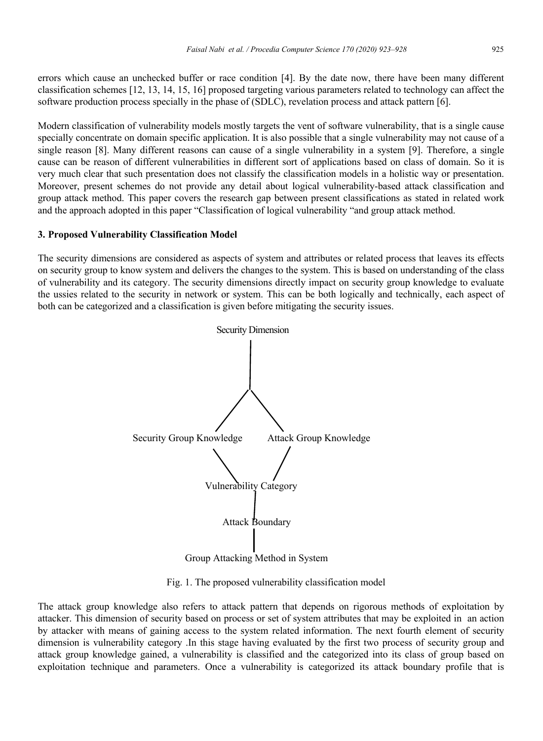errors which cause an unchecked buffer or race condition [4]. By the date now, there have been many different classification schemes [12, 13, 14, 15, 16] proposed targeting various parameters related to technology can affect the software production process specially in the phase of (SDLC), revelation process and attack pattern [6].

Modern classification of vulnerability models mostly targets the vent of software vulnerability, that is a single cause specially concentrate on domain specific application. It is also possible that a single vulnerability may not cause of a single reason [8]. Many different reasons can cause of a single vulnerability in a system [9]. Therefore, a single cause can be reason of different vulnerabilities in different sort of applications based on class of domain. So it is very much clear that such presentation does not classify the classification models in a holistic way or presentation. Moreover, present schemes do not provide any detail about logical vulnerability-based attack classification and group attack method. This paper covers the research gap between present classifications as stated in related work and the approach adopted in this paper "Classification of logical vulnerability "and group attack method.

#### **3. Proposed Vulnerability Classification Model**

The security dimensions are considered as aspects of system and attributes or related process that leaves its effects on security group to know system and delivers the changes to the system. This is based on understanding of the class of vulnerability and its category. The security dimensions directly impact on security group knowledge to evaluate the ussies related to the security in network or system. This can be both logically and technically, each aspect of both can be categorized and a classification is given before mitigating the security issues.



Group Attacking Method in System

Fig. 1. The proposed vulnerability classification model

The attack group knowledge also refers to attack pattern that depends on rigorous methods of exploitation by attacker. This dimension of security based on process or set of system attributes that may be exploited in an action by attacker with means of gaining access to the system related information. The next fourth element of security dimension is vulnerability category .In this stage having evaluated by the first two process of security group and attack group knowledge gained, a vulnerability is classified and the categorized into its class of group based on exploitation technique and parameters. Once a vulnerability is categorized its attack boundary profile that is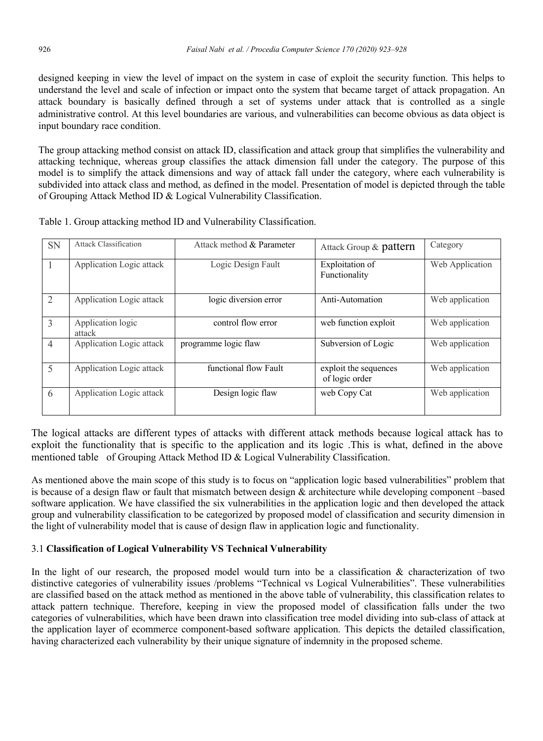designed keeping in view the level of impact on the system in case of exploit the security function. This helps to understand the level and scale of infection or impact onto the system that became target of attack propagation. An attack boundary is basically defined through a set of systems under attack that is controlled as a single administrative control. At this level boundaries are various, and vulnerabilities can become obvious as data object is input boundary race condition.

The group attacking method consist on attack ID, classification and attack group that simplifies the vulnerability and attacking technique, whereas group classifies the attack dimension fall under the category. The purpose of this model is to simplify the attack dimensions and way of attack fall under the category, where each vulnerability is subdivided into attack class and method, as defined in the model. Presentation of model is depicted through the table of Grouping Attack Method ID & Logical Vulnerability Classification.

| <b>SN</b>      | <b>Attack Classification</b> | Attack method & Parameter | Attack Group & pattern                  | Category        |
|----------------|------------------------------|---------------------------|-----------------------------------------|-----------------|
|                | Application Logic attack     | Logic Design Fault        | Exploitation of<br>Functionality        | Web Application |
| $\overline{2}$ | Application Logic attack     | logic diversion error     | Anti-Automation                         | Web application |
| 3              | Application logic<br>attack  | control flow error        | web function exploit                    | Web application |
| $\overline{4}$ | Application Logic attack     | programme logic flaw      | Subversion of Logic                     | Web application |
| 5              | Application Logic attack     | functional flow Fault     | exploit the sequences<br>of logic order | Web application |
| 6              | Application Logic attack     | Design logic flaw         | web Copy Cat                            | Web application |

Table 1. Group attacking method ID and Vulnerability Classification.

The logical attacks are different types of attacks with different attack methods because logical attack has to exploit the functionality that is specific to the application and its logic .This is what, defined in the above mentioned table of Grouping Attack Method ID & Logical Vulnerability Classification.

As mentioned above the main scope of this study is to focus on "application logic based vulnerabilities" problem that is because of a design flaw or fault that mismatch between design  $\&$  architecture while developing component –based software application. We have classified the six vulnerabilities in the application logic and then developed the attack group and vulnerability classification to be categorized by proposed model of classification and security dimension in the light of vulnerability model that is cause of design flaw in application logic and functionality.

# 3.1 **Classification of Logical Vulnerability VS Technical Vulnerability**

In the light of our research, the proposed model would turn into be a classification & characterization of two distinctive categories of vulnerability issues /problems "Technical vs Logical Vulnerabilities". These vulnerabilities are classified based on the attack method as mentioned in the above table of vulnerability, this classification relates to attack pattern technique. Therefore, keeping in view the proposed model of classification falls under the two categories of vulnerabilities, which have been drawn into classification tree model dividing into sub-class of attack at the application layer of ecommerce component-based software application. This depicts the detailed classification, having characterized each vulnerability by their unique signature of indemnity in the proposed scheme.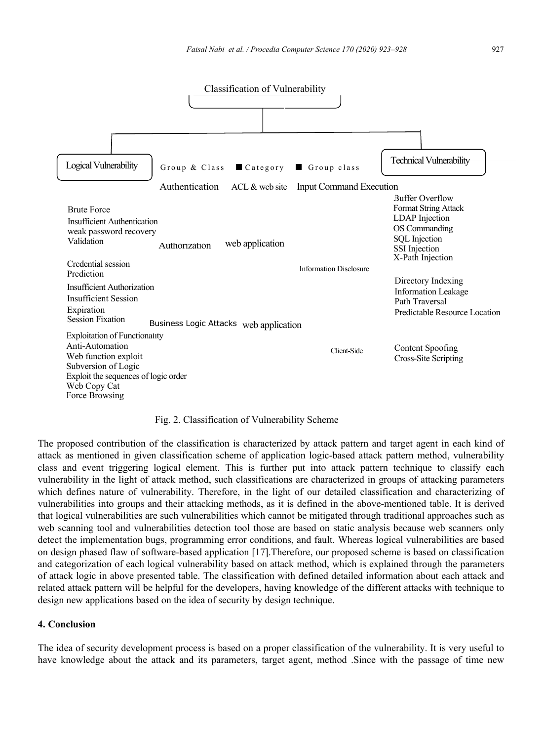

#### Fig. 2. Classification of Vulnerability Scheme

The proposed contribution of the classification is characterized by attack pattern and target agent in each kind of attack as mentioned in given classification scheme of application logic-based attack pattern method, vulnerability class and event triggering logical element. This is further put into attack pattern technique to classify each vulnerability in the light of attack method, such classifications are characterized in groups of attacking parameters which defines nature of vulnerability. Therefore, in the light of our detailed classification and characterizing of vulnerabilities into groups and their attacking methods, as it is defined in the above-mentioned table. It is derived that logical vulnerabilities are such vulnerabilities which cannot be mitigated through traditional approaches such as web scanning tool and vulnerabilities detection tool those are based on static analysis because web scanners only detect the implementation bugs, programming error conditions, and fault. Whereas logical vulnerabilities are based on design phased flaw of software-based application [17].Therefore, our proposed scheme is based on classification and categorization of each logical vulnerability based on attack method, which is explained through the parameters of attack logic in above presented table. The classification with defined detailed information about each attack and related attack pattern will be helpful for the developers, having knowledge of the different attacks with technique to design new applications based on the idea of security by design technique.

#### **4. Conclusion**

The idea of security development process is based on a proper classification of the vulnerability. It is very useful to have knowledge about the attack and its parameters, target agent, method .Since with the passage of time new